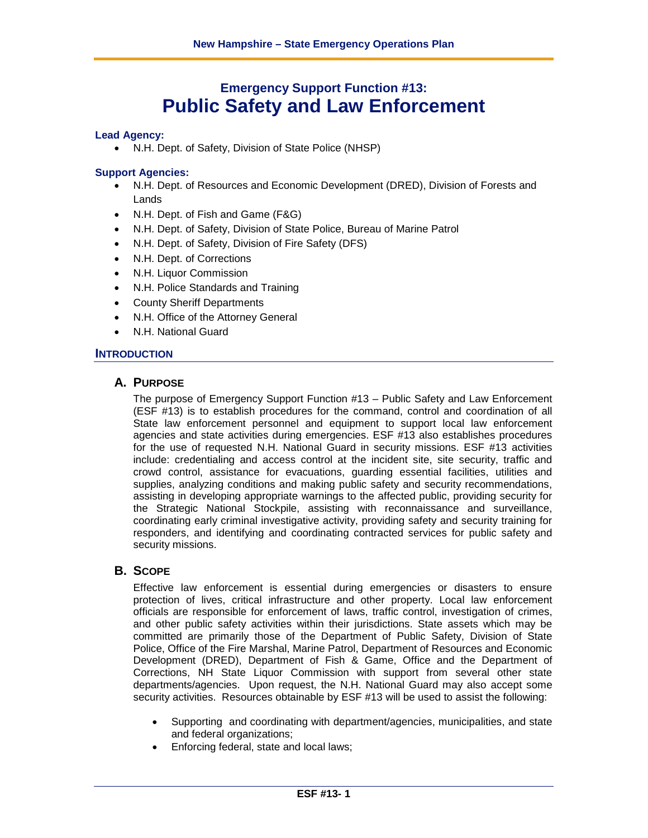# **Emergency Support Function #13: Public Safety and Law Enforcement**

#### **Lead Agency:**

• N.H. Dept. of Safety, Division of State Police (NHSP)

#### **Support Agencies:**

- N.H. Dept. of Resources and Economic Development (DRED), Division of Forests and Lands
- N.H. Dept. of Fish and Game (F&G)
- N.H. Dept. of Safety, Division of State Police, Bureau of Marine Patrol
- N.H. Dept. of Safety, Division of Fire Safety (DFS)
- N.H. Dept. of Corrections
- N.H. Liquor Commission
- N.H. Police Standards and Training
- County Sheriff Departments
- N.H. Office of the Attorney General
- N.H. National Guard

#### **INTRODUCTION**

#### **A. PURPOSE**

The purpose of Emergency Support Function #13 – Public Safety and Law Enforcement (ESF #13) is to establish procedures for the command, control and coordination of all State law enforcement personnel and equipment to support local law enforcement agencies and state activities during emergencies. ESF #13 also establishes procedures for the use of requested N.H. National Guard in security missions. ESF #13 activities include: credentialing and access control at the incident site, site security, traffic and crowd control, assistance for evacuations, guarding essential facilities, utilities and supplies, analyzing conditions and making public safety and security recommendations, assisting in developing appropriate warnings to the affected public, providing security for the Strategic National Stockpile, assisting with reconnaissance and surveillance, coordinating early criminal investigative activity, providing safety and security training for responders, and identifying and coordinating contracted services for public safety and security missions.

#### **B. SCOPE**

Effective law enforcement is essential during emergencies or disasters to ensure protection of lives, critical infrastructure and other property. Local law enforcement officials are responsible for enforcement of laws, traffic control, investigation of crimes, and other public safety activities within their jurisdictions. State assets which may be committed are primarily those of the Department of Public Safety, Division of State Police, Office of the Fire Marshal, Marine Patrol, Department of Resources and Economic Development (DRED), Department of Fish & Game, Office and the Department of Corrections, NH State Liquor Commission with support from several other state departments/agencies. Upon request, the N.H. National Guard may also accept some security activities. Resources obtainable by ESF #13 will be used to assist the following:

- Supporting and coordinating with department/agencies, municipalities, and state and federal organizations;
- Enforcing federal, state and local laws;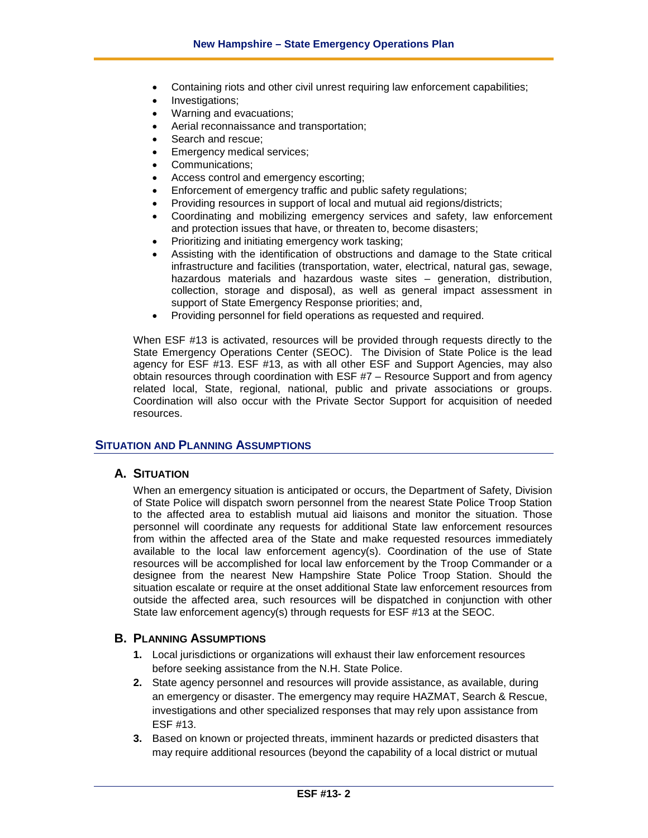- Containing riots and other civil unrest requiring law enforcement capabilities;
- Investigations:
- Warning and evacuations;
- Aerial reconnaissance and transportation:
- Search and rescue;
- Emergency medical services;
- Communications;
- Access control and emergency escorting;
- Enforcement of emergency traffic and public safety regulations;
- Providing resources in support of local and mutual aid regions/districts;
- Coordinating and mobilizing emergency services and safety, law enforcement and protection issues that have, or threaten to, become disasters;
- Prioritizing and initiating emergency work tasking;
- Assisting with the identification of obstructions and damage to the State critical infrastructure and facilities (transportation, water, electrical, natural gas, sewage, hazardous materials and hazardous waste sites – generation, distribution, collection, storage and disposal), as well as general impact assessment in support of State Emergency Response priorities; and,
- Providing personnel for field operations as requested and required.

When ESF #13 is activated, resources will be provided through requests directly to the State Emergency Operations Center (SEOC). The Division of State Police is the lead agency for ESF #13. ESF #13, as with all other ESF and Support Agencies, may also obtain resources through coordination with ESF #7 – Resource Support and from agency related local, State, regional, national, public and private associations or groups. Coordination will also occur with the Private Sector Support for acquisition of needed resources.

#### **SITUATION AND PLANNING ASSUMPTIONS**

# **A. SITUATION**

When an emergency situation is anticipated or occurs, the Department of Safety, Division of State Police will dispatch sworn personnel from the nearest State Police Troop Station to the affected area to establish mutual aid liaisons and monitor the situation. Those personnel will coordinate any requests for additional State law enforcement resources from within the affected area of the State and make requested resources immediately available to the local law enforcement agency(s). Coordination of the use of State resources will be accomplished for local law enforcement by the Troop Commander or a designee from the nearest New Hampshire State Police Troop Station. Should the situation escalate or require at the onset additional State law enforcement resources from outside the affected area, such resources will be dispatched in conjunction with other State law enforcement agency(s) through requests for ESF #13 at the SEOC.

#### **B. PLANNING ASSUMPTIONS**

- **1.** Local jurisdictions or organizations will exhaust their law enforcement resources before seeking assistance from the N.H. State Police.
- **2.** State agency personnel and resources will provide assistance, as available, during an emergency or disaster. The emergency may require HAZMAT, Search & Rescue, investigations and other specialized responses that may rely upon assistance from ESF #13.
- **3.** Based on known or projected threats, imminent hazards or predicted disasters that may require additional resources (beyond the capability of a local district or mutual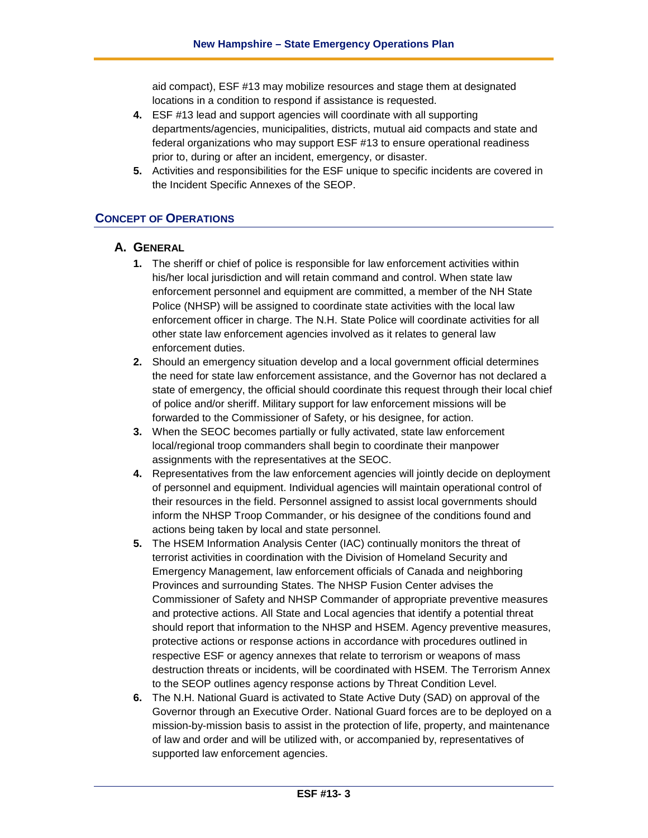aid compact), ESF #13 may mobilize resources and stage them at designated locations in a condition to respond if assistance is requested.

- **4.** ESF #13 lead and support agencies will coordinate with all supporting departments/agencies, municipalities, districts, mutual aid compacts and state and federal organizations who may support ESF #13 to ensure operational readiness prior to, during or after an incident, emergency, or disaster.
- **5.** Activities and responsibilities for the ESF unique to specific incidents are covered in the Incident Specific Annexes of the SEOP.

### **CONCEPT OF OPERATIONS**

#### **A. GENERAL**

- **1.** The sheriff or chief of police is responsible for law enforcement activities within his/her local jurisdiction and will retain command and control. When state law enforcement personnel and equipment are committed, a member of the NH State Police (NHSP) will be assigned to coordinate state activities with the local law enforcement officer in charge. The N.H. State Police will coordinate activities for all other state law enforcement agencies involved as it relates to general law enforcement duties.
- **2.** Should an emergency situation develop and a local government official determines the need for state law enforcement assistance, and the Governor has not declared a state of emergency, the official should coordinate this request through their local chief of police and/or sheriff. Military support for law enforcement missions will be forwarded to the Commissioner of Safety, or his designee, for action.
- **3.** When the SEOC becomes partially or fully activated, state law enforcement local/regional troop commanders shall begin to coordinate their manpower assignments with the representatives at the SEOC.
- **4.** Representatives from the law enforcement agencies will jointly decide on deployment of personnel and equipment. Individual agencies will maintain operational control of their resources in the field. Personnel assigned to assist local governments should inform the NHSP Troop Commander, or his designee of the conditions found and actions being taken by local and state personnel.
- **5.** The HSEM Information Analysis Center (IAC) continually monitors the threat of terrorist activities in coordination with the Division of Homeland Security and Emergency Management, law enforcement officials of Canada and neighboring Provinces and surrounding States. The NHSP Fusion Center advises the Commissioner of Safety and NHSP Commander of appropriate preventive measures and protective actions. All State and Local agencies that identify a potential threat should report that information to the NHSP and HSEM. Agency preventive measures, protective actions or response actions in accordance with procedures outlined in respective ESF or agency annexes that relate to terrorism or weapons of mass destruction threats or incidents, will be coordinated with HSEM. The Terrorism Annex to the SEOP outlines agency response actions by Threat Condition Level.
- **6.** The N.H. National Guard is activated to State Active Duty (SAD) on approval of the Governor through an Executive Order. National Guard forces are to be deployed on a mission-by-mission basis to assist in the protection of life, property, and maintenance of law and order and will be utilized with, or accompanied by, representatives of supported law enforcement agencies.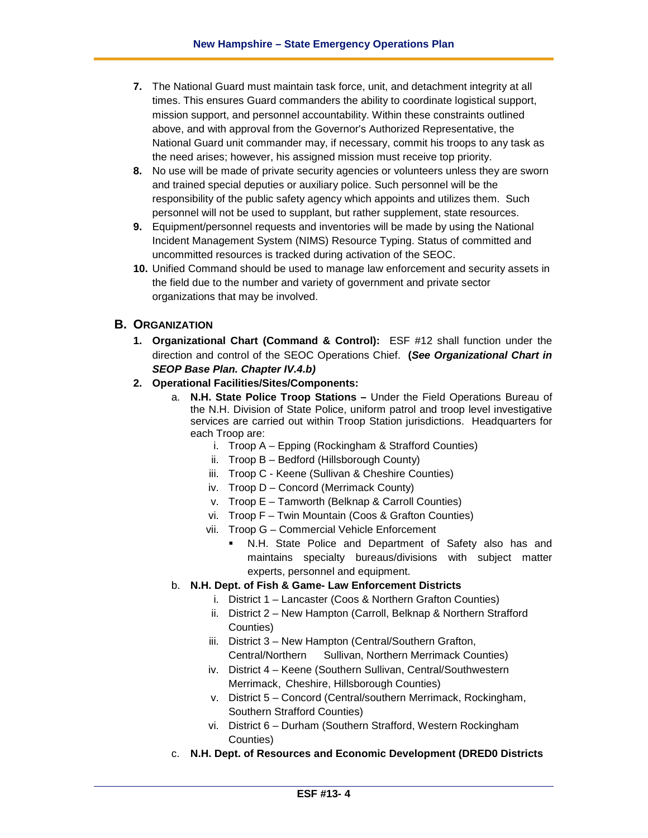- **7.** The National Guard must maintain task force, unit, and detachment integrity at all times. This ensures Guard commanders the ability to coordinate logistical support, mission support, and personnel accountability. Within these constraints outlined above, and with approval from the Governor's Authorized Representative, the National Guard unit commander may, if necessary, commit his troops to any task as the need arises; however, his assigned mission must receive top priority.
- **8.** No use will be made of private security agencies or volunteers unless they are sworn and trained special deputies or auxiliary police. Such personnel will be the responsibility of the public safety agency which appoints and utilizes them. Such personnel will not be used to supplant, but rather supplement, state resources.
- **9.** Equipment/personnel requests and inventories will be made by using the National Incident Management System (NIMS) Resource Typing. Status of committed and uncommitted resources is tracked during activation of the SEOC.
- **10.** Unified Command should be used to manage law enforcement and security assets in the field due to the number and variety of government and private sector organizations that may be involved.

### **B. ORGANIZATION**

- **1. Organizational Chart (Command & Control):** ESF #12 shall function under the direction and control of the SEOC Operations Chief. **(***See Organizational Chart in SEOP Base Plan. Chapter IV.4.b)*
- **2. Operational Facilities/Sites/Components:** 
	- a. **N.H. State Police Troop Stations –** Under the Field Operations Bureau of the N.H. Division of State Police, uniform patrol and troop level investigative services are carried out within Troop Station jurisdictions. Headquarters for each Troop are:
		- i. Troop A Epping (Rockingham & Strafford Counties)
		- ii. Troop B Bedford (Hillsborough County)
		- iii. Troop C Keene (Sullivan & Cheshire Counties)
		- iv. Troop D Concord (Merrimack County)
		- v. Troop E Tamworth (Belknap & Carroll Counties)
		- vi. Troop F Twin Mountain (Coos & Grafton Counties)
		- vii. Troop G Commercial Vehicle Enforcement
			- N.H. State Police and Department of Safety also has and maintains specialty bureaus/divisions with subject matter experts, personnel and equipment.
	- b. **N.H. Dept. of Fish & Game- Law Enforcement Districts**
		- i. District 1 Lancaster (Coos & Northern Grafton Counties)
		- ii. District 2 New Hampton (Carroll, Belknap & Northern Strafford Counties)
		- iii. District 3 New Hampton (Central/Southern Grafton, Central/Northern Sullivan, Northern Merrimack Counties)
		- iv. District 4 Keene (Southern Sullivan, Central/Southwestern Merrimack, Cheshire, Hillsborough Counties)
		- v. District 5 Concord (Central/southern Merrimack, Rockingham, Southern Strafford Counties)
		- vi. District 6 Durham (Southern Strafford, Western Rockingham Counties)
	- c. **N.H. Dept. of Resources and Economic Development (DRED0 Districts**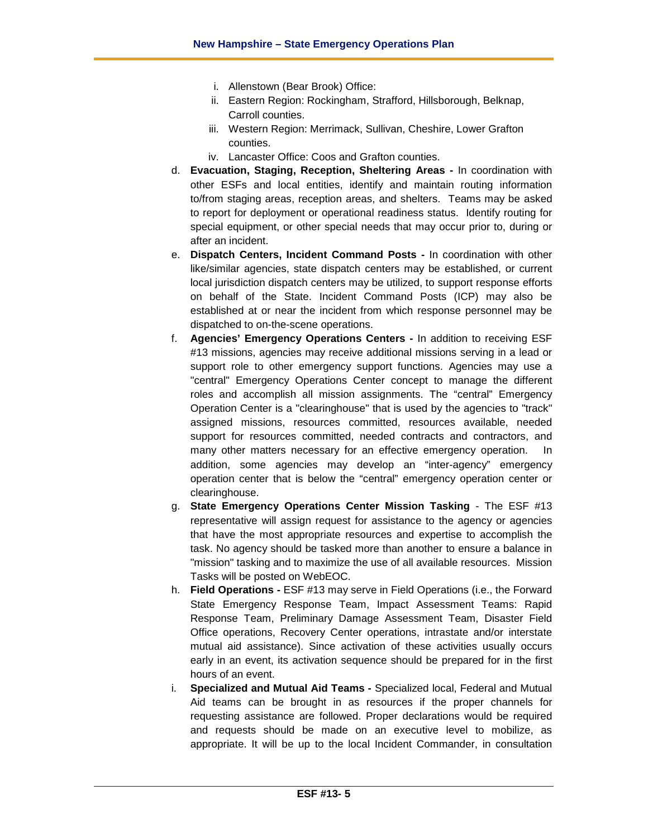- i. Allenstown (Bear Brook) Office:
- ii. Eastern Region: Rockingham, Strafford, Hillsborough, Belknap, Carroll counties.
- iii. Western Region: Merrimack, Sullivan, Cheshire, Lower Grafton counties.
- iv. Lancaster Office: Coos and Grafton counties.
- d. **Evacuation, Staging, Reception, Sheltering Areas -** In coordination with other ESFs and local entities, identify and maintain routing information to/from staging areas, reception areas, and shelters. Teams may be asked to report for deployment or operational readiness status. Identify routing for special equipment, or other special needs that may occur prior to, during or after an incident.
- e. **Dispatch Centers, Incident Command Posts -** In coordination with other like/similar agencies, state dispatch centers may be established, or current local jurisdiction dispatch centers may be utilized, to support response efforts on behalf of the State. Incident Command Posts (ICP) may also be established at or near the incident from which response personnel may be dispatched to on-the-scene operations.
- f. **Agencies' Emergency Operations Centers -** In addition to receiving ESF #13 missions, agencies may receive additional missions serving in a lead or support role to other emergency support functions. Agencies may use a "central" Emergency Operations Center concept to manage the different roles and accomplish all mission assignments. The "central" Emergency Operation Center is a "clearinghouse" that is used by the agencies to "track" assigned missions, resources committed, resources available, needed support for resources committed, needed contracts and contractors, and many other matters necessary for an effective emergency operation. In addition, some agencies may develop an "inter-agency" emergency operation center that is below the "central" emergency operation center or clearinghouse.
- g. **State Emergency Operations Center Mission Tasking** The ESF #13 representative will assign request for assistance to the agency or agencies that have the most appropriate resources and expertise to accomplish the task. No agency should be tasked more than another to ensure a balance in "mission" tasking and to maximize the use of all available resources. Mission Tasks will be posted on WebEOC.
- h. **Field Operations -** ESF #13 may serve in Field Operations (i.e., the Forward State Emergency Response Team, Impact Assessment Teams: Rapid Response Team, Preliminary Damage Assessment Team, Disaster Field Office operations, Recovery Center operations, intrastate and/or interstate mutual aid assistance). Since activation of these activities usually occurs early in an event, its activation sequence should be prepared for in the first hours of an event.
- i. **Specialized and Mutual Aid Teams -** Specialized local, Federal and Mutual Aid teams can be brought in as resources if the proper channels for requesting assistance are followed. Proper declarations would be required and requests should be made on an executive level to mobilize, as appropriate. It will be up to the local Incident Commander, in consultation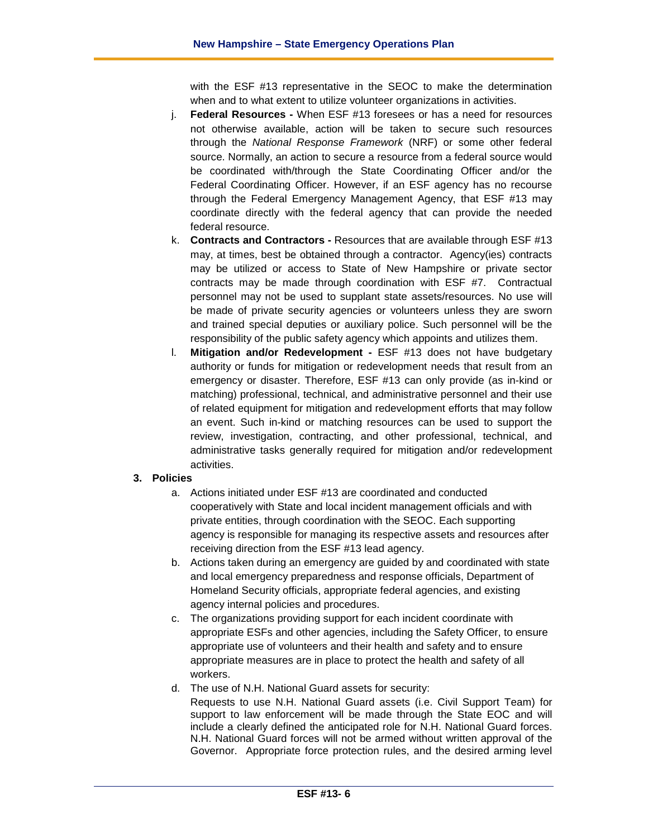with the ESF #13 representative in the SEOC to make the determination when and to what extent to utilize volunteer organizations in activities.

- j. **Federal Resources -** When ESF #13 foresees or has a need for resources not otherwise available, action will be taken to secure such resources through the *National Response Framework* (NRF) or some other federal source. Normally, an action to secure a resource from a federal source would be coordinated with/through the State Coordinating Officer and/or the Federal Coordinating Officer. However, if an ESF agency has no recourse through the Federal Emergency Management Agency, that ESF #13 may coordinate directly with the federal agency that can provide the needed federal resource.
- k. **Contracts and Contractors -** Resources that are available through ESF #13 may, at times, best be obtained through a contractor. Agency(ies) contracts may be utilized or access to State of New Hampshire or private sector contracts may be made through coordination with ESF #7. Contractual personnel may not be used to supplant state assets/resources. No use will be made of private security agencies or volunteers unless they are sworn and trained special deputies or auxiliary police. Such personnel will be the responsibility of the public safety agency which appoints and utilizes them.
- l. **Mitigation and/or Redevelopment -** ESF #13 does not have budgetary authority or funds for mitigation or redevelopment needs that result from an emergency or disaster. Therefore, ESF #13 can only provide (as in-kind or matching) professional, technical, and administrative personnel and their use of related equipment for mitigation and redevelopment efforts that may follow an event. Such in-kind or matching resources can be used to support the review, investigation, contracting, and other professional, technical, and administrative tasks generally required for mitigation and/or redevelopment activities.

#### **3. Policies**

- a. Actions initiated under ESF #13 are coordinated and conducted cooperatively with State and local incident management officials and with private entities, through coordination with the SEOC. Each supporting agency is responsible for managing its respective assets and resources after receiving direction from the ESF #13 lead agency.
- b. Actions taken during an emergency are guided by and coordinated with state and local emergency preparedness and response officials, Department of Homeland Security officials, appropriate federal agencies, and existing agency internal policies and procedures.
- c. The organizations providing support for each incident coordinate with appropriate ESFs and other agencies, including the Safety Officer, to ensure appropriate use of volunteers and their health and safety and to ensure appropriate measures are in place to protect the health and safety of all workers.
- d. The use of N.H. National Guard assets for security: Requests to use N.H. National Guard assets (i.e. Civil Support Team) for support to law enforcement will be made through the State EOC and will include a clearly defined the anticipated role for N.H. National Guard forces. N.H. National Guard forces will not be armed without written approval of the Governor. Appropriate force protection rules, and the desired arming level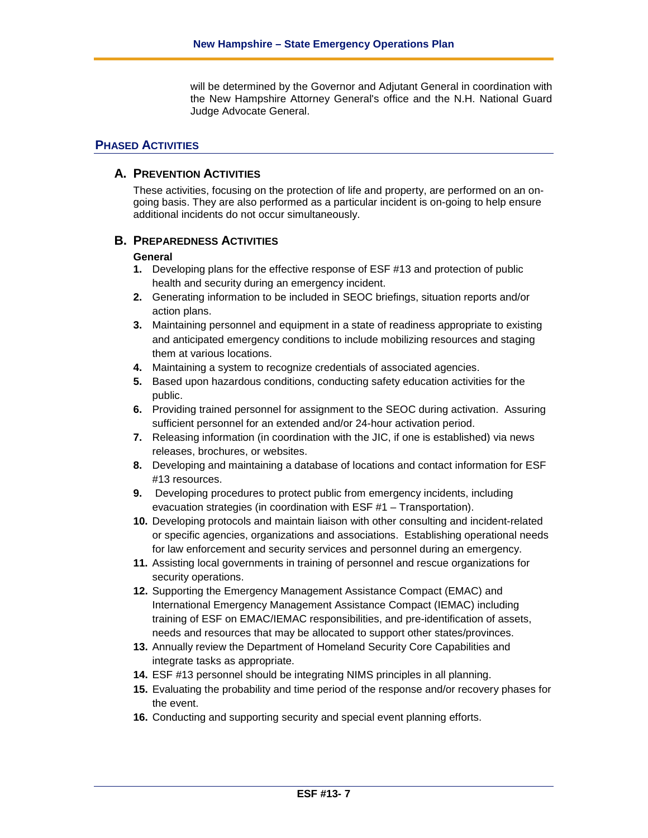will be determined by the Governor and Adjutant General in coordination with the New Hampshire Attorney General's office and the N.H. National Guard Judge Advocate General.

### **PHASED ACTIVITIES**

### **A. PREVENTION ACTIVITIES**

These activities, focusing on the protection of life and property, are performed on an ongoing basis. They are also performed as a particular incident is on-going to help ensure additional incidents do not occur simultaneously.

#### **B. PREPAREDNESS ACTIVITIES**

#### **General**

- **1.** Developing plans for the effective response of ESF #13 and protection of public health and security during an emergency incident.
- **2.** Generating information to be included in SEOC briefings, situation reports and/or action plans.
- **3.** Maintaining personnel and equipment in a state of readiness appropriate to existing and anticipated emergency conditions to include mobilizing resources and staging them at various locations.
- **4.** Maintaining a system to recognize credentials of associated agencies.
- **5.** Based upon hazardous conditions, conducting safety education activities for the public.
- **6.** Providing trained personnel for assignment to the SEOC during activation. Assuring sufficient personnel for an extended and/or 24-hour activation period.
- **7.** Releasing information (in coordination with the JIC, if one is established) via news releases, brochures, or websites.
- **8.** Developing and maintaining a database of locations and contact information for ESF #13 resources.
- **9.** Developing procedures to protect public from emergency incidents, including evacuation strategies (in coordination with ESF #1 – Transportation).
- **10.** Developing protocols and maintain liaison with other consulting and incident-related or specific agencies, organizations and associations. Establishing operational needs for law enforcement and security services and personnel during an emergency.
- **11.** Assisting local governments in training of personnel and rescue organizations for security operations.
- **12.** Supporting the Emergency Management Assistance Compact (EMAC) and International Emergency Management Assistance Compact (IEMAC) including training of ESF on EMAC/IEMAC responsibilities, and pre-identification of assets, needs and resources that may be allocated to support other states/provinces.
- **13.** Annually review the Department of Homeland Security Core Capabilities and integrate tasks as appropriate.
- **14.** ESF #13 personnel should be integrating NIMS principles in all planning.
- **15.** Evaluating the probability and time period of the response and/or recovery phases for the event.
- **16.** Conducting and supporting security and special event planning efforts.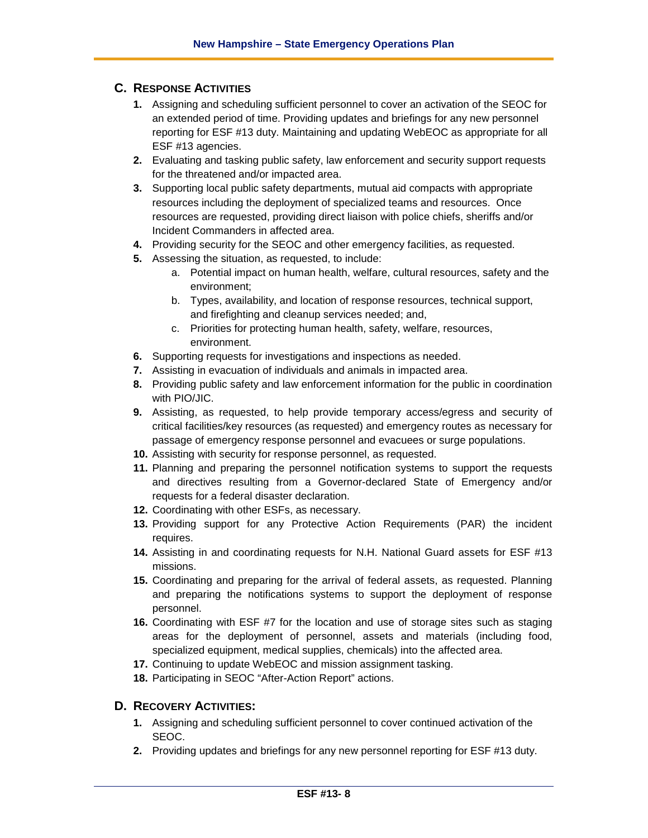# **C. RESPONSE ACTIVITIES**

- **1.** Assigning and scheduling sufficient personnel to cover an activation of the SEOC for an extended period of time. Providing updates and briefings for any new personnel reporting for ESF #13 duty. Maintaining and updating WebEOC as appropriate for all ESF #13 agencies.
- **2.** Evaluating and tasking public safety, law enforcement and security support requests for the threatened and/or impacted area.
- **3.** Supporting local public safety departments, mutual aid compacts with appropriate resources including the deployment of specialized teams and resources. Once resources are requested, providing direct liaison with police chiefs, sheriffs and/or Incident Commanders in affected area.
- **4.** Providing security for the SEOC and other emergency facilities, as requested.
- **5.** Assessing the situation, as requested, to include:
	- a. Potential impact on human health, welfare, cultural resources, safety and the environment;
	- b. Types, availability, and location of response resources, technical support, and firefighting and cleanup services needed; and,
	- c. Priorities for protecting human health, safety, welfare, resources, environment.
- **6.** Supporting requests for investigations and inspections as needed.
- **7.** Assisting in evacuation of individuals and animals in impacted area.
- **8.** Providing public safety and law enforcement information for the public in coordination with PIO/JIC.
- **9.** Assisting, as requested, to help provide temporary access/egress and security of critical facilities/key resources (as requested) and emergency routes as necessary for passage of emergency response personnel and evacuees or surge populations.
- **10.** Assisting with security for response personnel, as requested.
- **11.** Planning and preparing the personnel notification systems to support the requests and directives resulting from a Governor-declared State of Emergency and/or requests for a federal disaster declaration.
- **12.** Coordinating with other ESFs, as necessary.
- **13.** Providing support for any Protective Action Requirements (PAR) the incident requires.
- **14.** Assisting in and coordinating requests for N.H. National Guard assets for ESF #13 missions.
- **15.** Coordinating and preparing for the arrival of federal assets, as requested. Planning and preparing the notifications systems to support the deployment of response personnel.
- **16.** Coordinating with ESF #7 for the location and use of storage sites such as staging areas for the deployment of personnel, assets and materials (including food, specialized equipment, medical supplies, chemicals) into the affected area.
- **17.** Continuing to update WebEOC and mission assignment tasking.
- **18.** Participating in SEOC "After-Action Report" actions.

# **D. RECOVERY ACTIVITIES:**

- **1.** Assigning and scheduling sufficient personnel to cover continued activation of the SEOC.
- **2.** Providing updates and briefings for any new personnel reporting for ESF #13 duty.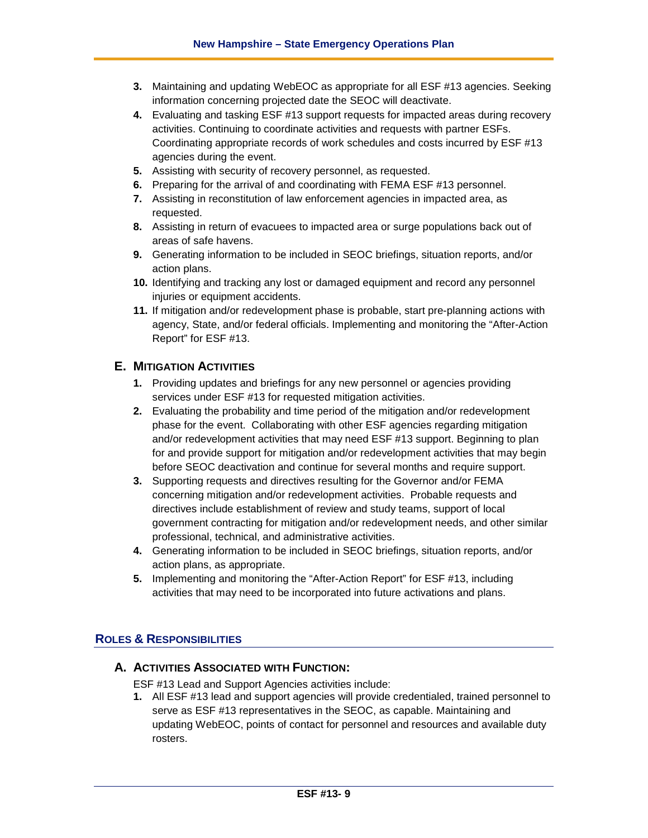- **3.** Maintaining and updating WebEOC as appropriate for all ESF #13 agencies. Seeking information concerning projected date the SEOC will deactivate.
- **4.** Evaluating and tasking ESF #13 support requests for impacted areas during recovery activities. Continuing to coordinate activities and requests with partner ESFs. Coordinating appropriate records of work schedules and costs incurred by ESF #13 agencies during the event.
- **5.** Assisting with security of recovery personnel, as requested.
- **6.** Preparing for the arrival of and coordinating with FEMA ESF #13 personnel.
- **7.** Assisting in reconstitution of law enforcement agencies in impacted area, as requested.
- **8.** Assisting in return of evacuees to impacted area or surge populations back out of areas of safe havens.
- **9.** Generating information to be included in SEOC briefings, situation reports, and/or action plans.
- **10.** Identifying and tracking any lost or damaged equipment and record any personnel injuries or equipment accidents.
- **11.** If mitigation and/or redevelopment phase is probable, start pre-planning actions with agency, State, and/or federal officials. Implementing and monitoring the "After-Action Report" for ESF #13.

# **E. MITIGATION ACTIVITIES**

- **1.** Providing updates and briefings for any new personnel or agencies providing services under ESF #13 for requested mitigation activities.
- **2.** Evaluating the probability and time period of the mitigation and/or redevelopment phase for the event. Collaborating with other ESF agencies regarding mitigation and/or redevelopment activities that may need ESF #13 support. Beginning to plan for and provide support for mitigation and/or redevelopment activities that may begin before SEOC deactivation and continue for several months and require support.
- **3.** Supporting requests and directives resulting for the Governor and/or FEMA concerning mitigation and/or redevelopment activities. Probable requests and directives include establishment of review and study teams, support of local government contracting for mitigation and/or redevelopment needs, and other similar professional, technical, and administrative activities.
- **4.** Generating information to be included in SEOC briefings, situation reports, and/or action plans, as appropriate.
- **5.** Implementing and monitoring the "After-Action Report" for ESF #13, including activities that may need to be incorporated into future activations and plans.

# **ROLES & RESPONSIBILITIES**

# **A. ACTIVITIES ASSOCIATED WITH FUNCTION:**

ESF #13 Lead and Support Agencies activities include:

**1.** All ESF #13 lead and support agencies will provide credentialed, trained personnel to serve as ESF #13 representatives in the SEOC, as capable. Maintaining and updating WebEOC, points of contact for personnel and resources and available duty rosters.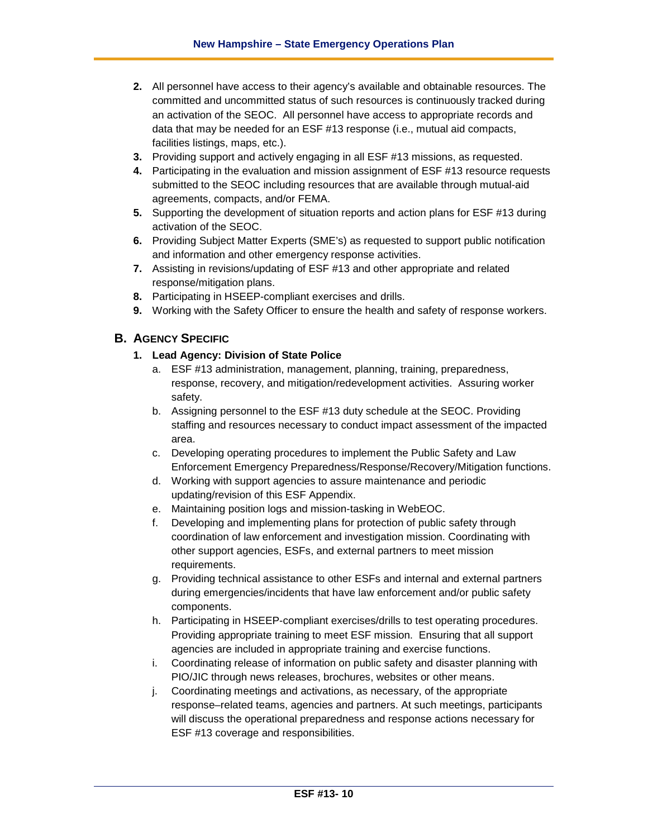- **2.** All personnel have access to their agency's available and obtainable resources. The committed and uncommitted status of such resources is continuously tracked during an activation of the SEOC. All personnel have access to appropriate records and data that may be needed for an ESF #13 response (i.e., mutual aid compacts, facilities listings, maps, etc.).
- **3.** Providing support and actively engaging in all ESF #13 missions, as requested.
- **4.** Participating in the evaluation and mission assignment of ESF #13 resource requests submitted to the SEOC including resources that are available through mutual-aid agreements, compacts, and/or FEMA.
- **5.** Supporting the development of situation reports and action plans for ESF #13 during activation of the SEOC.
- **6.** Providing Subject Matter Experts (SME's) as requested to support public notification and information and other emergency response activities.
- **7.** Assisting in revisions/updating of ESF #13 and other appropriate and related response/mitigation plans.
- **8.** Participating in HSEEP-compliant exercises and drills.
- **9.** Working with the Safety Officer to ensure the health and safety of response workers.

#### **B. AGENCY SPECIFIC**

#### **1. Lead Agency: Division of State Police**

- a. ESF #13 administration, management, planning, training, preparedness, response, recovery, and mitigation/redevelopment activities. Assuring worker safety.
- b. Assigning personnel to the ESF #13 duty schedule at the SEOC. Providing staffing and resources necessary to conduct impact assessment of the impacted area.
- c. Developing operating procedures to implement the Public Safety and Law Enforcement Emergency Preparedness/Response/Recovery/Mitigation functions.
- d. Working with support agencies to assure maintenance and periodic updating/revision of this ESF Appendix.
- e. Maintaining position logs and mission-tasking in WebEOC.
- f. Developing and implementing plans for protection of public safety through coordination of law enforcement and investigation mission. Coordinating with other support agencies, ESFs, and external partners to meet mission requirements.
- g. Providing technical assistance to other ESFs and internal and external partners during emergencies/incidents that have law enforcement and/or public safety components.
- h. Participating in HSEEP-compliant exercises/drills to test operating procedures. Providing appropriate training to meet ESF mission. Ensuring that all support agencies are included in appropriate training and exercise functions.
- i. Coordinating release of information on public safety and disaster planning with PIO/JIC through news releases, brochures, websites or other means.
- j. Coordinating meetings and activations, as necessary, of the appropriate response–related teams, agencies and partners. At such meetings, participants will discuss the operational preparedness and response actions necessary for ESF #13 coverage and responsibilities.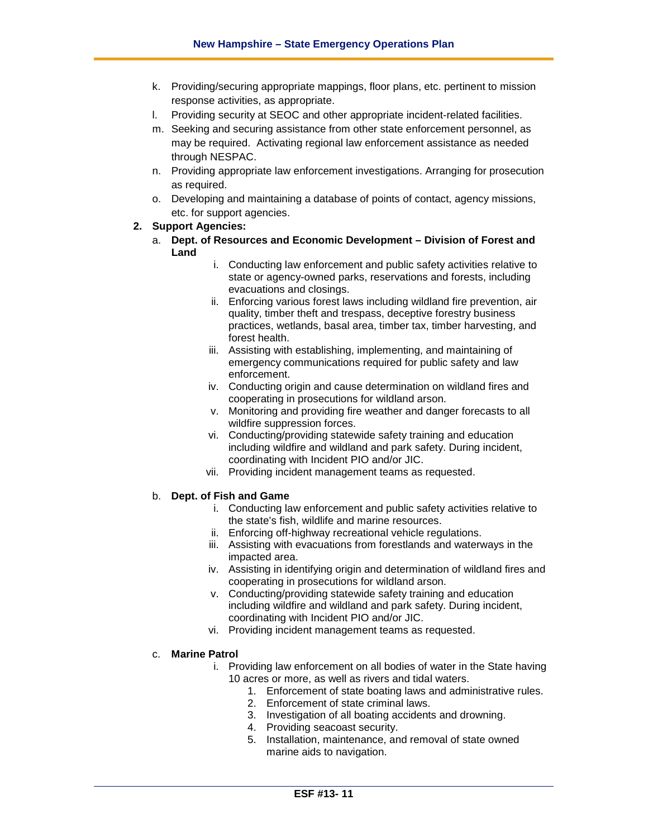- k. Providing/securing appropriate mappings, floor plans, etc. pertinent to mission response activities, as appropriate.
- l. Providing security at SEOC and other appropriate incident-related facilities.
- m. Seeking and securing assistance from other state enforcement personnel, as may be required. Activating regional law enforcement assistance as needed through NESPAC.
- n. Providing appropriate law enforcement investigations. Arranging for prosecution as required.
- o. Developing and maintaining a database of points of contact, agency missions, etc. for support agencies.
- **2. Support Agencies:**
	- a. **Dept. of Resources and Economic Development – Division of Forest and Land**
		- i. Conducting law enforcement and public safety activities relative to state or agency-owned parks, reservations and forests, including evacuations and closings.
		- ii. Enforcing various forest laws including wildland fire prevention, air quality, timber theft and trespass, deceptive forestry business practices, wetlands, basal area, timber tax, timber harvesting, and forest health.
		- iii. Assisting with establishing, implementing, and maintaining of emergency communications required for public safety and law enforcement.
		- iv. Conducting origin and cause determination on wildland fires and cooperating in prosecutions for wildland arson.
		- v. Monitoring and providing fire weather and danger forecasts to all wildfire suppression forces.
		- vi. Conducting/providing statewide safety training and education including wildfire and wildland and park safety. During incident, coordinating with Incident PIO and/or JIC.
		- vii. Providing incident management teams as requested.

#### b. **Dept. of Fish and Game**

- i. Conducting law enforcement and public safety activities relative to the state's fish, wildlife and marine resources.
- ii. Enforcing off-highway recreational vehicle regulations.
- iii. Assisting with evacuations from forestlands and waterways in the impacted area.
- iv. Assisting in identifying origin and determination of wildland fires and cooperating in prosecutions for wildland arson.
- v. Conducting/providing statewide safety training and education including wildfire and wildland and park safety. During incident, coordinating with Incident PIO and/or JIC.
- vi. Providing incident management teams as requested.

#### c. **Marine Patrol**

- i. Providing law enforcement on all bodies of water in the State having 10 acres or more, as well as rivers and tidal waters.
	- 1. Enforcement of state boating laws and administrative rules.
	- 2. Enforcement of state criminal laws.
	- 3. Investigation of all boating accidents and drowning.
	- 4. Providing seacoast security.
	- 5. Installation, maintenance, and removal of state owned marine aids to navigation.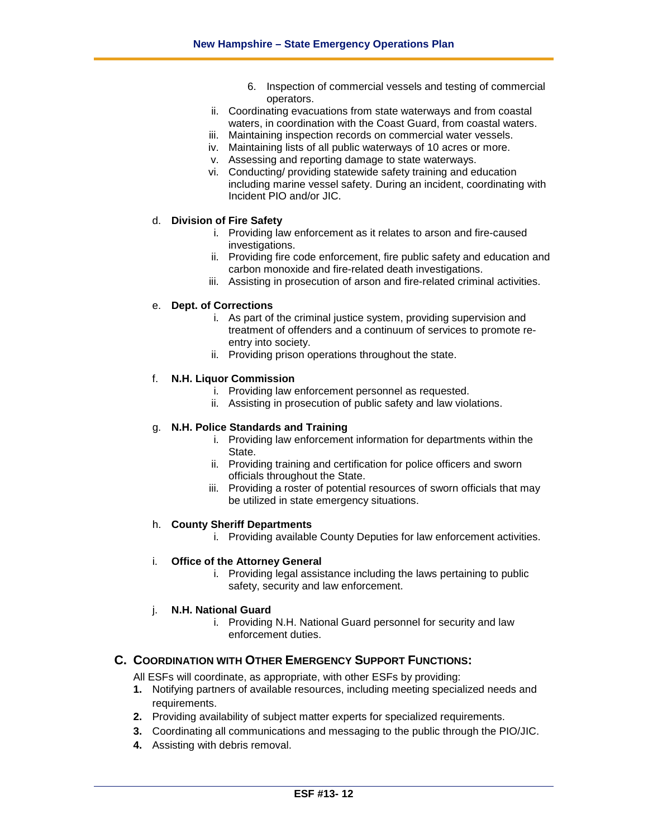- 6. Inspection of commercial vessels and testing of commercial operators.
- ii. Coordinating evacuations from state waterways and from coastal waters, in coordination with the Coast Guard, from coastal waters.
- iii. Maintaining inspection records on commercial water vessels.
- iv. Maintaining lists of all public waterways of 10 acres or more.
- v. Assessing and reporting damage to state waterways.
- vi. Conducting/ providing statewide safety training and education including marine vessel safety. During an incident, coordinating with Incident PIO and/or JIC.

#### d. **Division of Fire Safety**

- i. Providing law enforcement as it relates to arson and fire-caused investigations.
- ii. Providing fire code enforcement, fire public safety and education and carbon monoxide and fire-related death investigations.
- iii. Assisting in prosecution of arson and fire-related criminal activities.

#### e. **Dept. of Corrections**

- i. As part of the criminal justice system, providing supervision and treatment of offenders and a continuum of services to promote reentry into society.
- ii. Providing prison operations throughout the state.

#### f. **N.H. Liquor Commission**

- i. Providing law enforcement personnel as requested.
- ii. Assisting in prosecution of public safety and law violations.

#### g. **N.H. Police Standards and Training**

- i. Providing law enforcement information for departments within the State.
- ii. Providing training and certification for police officers and sworn officials throughout the State.
- iii. Providing a roster of potential resources of sworn officials that may be utilized in state emergency situations.

#### h. **County Sheriff Departments**

i. Providing available County Deputies for law enforcement activities.

#### i. **Office of the Attorney General**

i. Providing legal assistance including the laws pertaining to public safety, security and law enforcement.

#### j. **N.H. National Guard**

i. Providing N.H. National Guard personnel for security and law enforcement duties.

#### **C. COORDINATION WITH OTHER EMERGENCY SUPPORT FUNCTIONS:**

All ESFs will coordinate, as appropriate, with other ESFs by providing:

- **1.** Notifying partners of available resources, including meeting specialized needs and requirements.
- **2.** Providing availability of subject matter experts for specialized requirements.
- **3.** Coordinating all communications and messaging to the public through the PIO/JIC.
- **4.** Assisting with debris removal.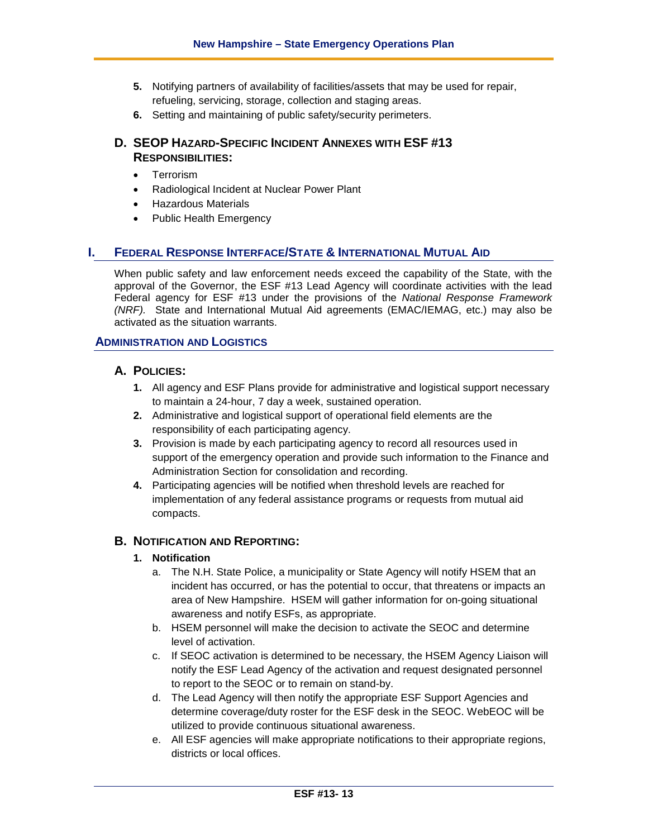- **5.** Notifying partners of availability of facilities/assets that may be used for repair, refueling, servicing, storage, collection and staging areas.
- **6.** Setting and maintaining of public safety/security perimeters.

# **D. SEOP HAZARD-SPECIFIC INCIDENT ANNEXES WITH ESF #13 RESPONSIBILITIES:**

- Terrorism
- Radiological Incident at Nuclear Power Plant
- Hazardous Materials
- Public Health Emergency

#### **I. FEDERAL RESPONSE INTERFACE/STATE & INTERNATIONAL MUTUAL AID**

When public safety and law enforcement needs exceed the capability of the State, with the approval of the Governor, the ESF #13 Lead Agency will coordinate activities with the lead Federal agency for ESF #13 under the provisions of the *National Response Framework (NRF).* State and International Mutual Aid agreements (EMAC/IEMAG, etc.) may also be activated as the situation warrants.

#### **ADMINISTRATION AND LOGISTICS**

#### **A. POLICIES:**

- **1.** All agency and ESF Plans provide for administrative and logistical support necessary to maintain a 24-hour, 7 day a week, sustained operation.
- **2.** Administrative and logistical support of operational field elements are the responsibility of each participating agency.
- **3.** Provision is made by each participating agency to record all resources used in support of the emergency operation and provide such information to the Finance and Administration Section for consolidation and recording.
- **4.** Participating agencies will be notified when threshold levels are reached for implementation of any federal assistance programs or requests from mutual aid compacts.

### **B. NOTIFICATION AND REPORTING:**

#### **1. Notification**

- a. The N.H. State Police, a municipality or State Agency will notify HSEM that an incident has occurred, or has the potential to occur, that threatens or impacts an area of New Hampshire. HSEM will gather information for on-going situational awareness and notify ESFs, as appropriate.
- b. HSEM personnel will make the decision to activate the SEOC and determine level of activation.
- c. If SEOC activation is determined to be necessary, the HSEM Agency Liaison will notify the ESF Lead Agency of the activation and request designated personnel to report to the SEOC or to remain on stand-by.
- d. The Lead Agency will then notify the appropriate ESF Support Agencies and determine coverage/duty roster for the ESF desk in the SEOC. WebEOC will be utilized to provide continuous situational awareness.
- e. All ESF agencies will make appropriate notifications to their appropriate regions, districts or local offices.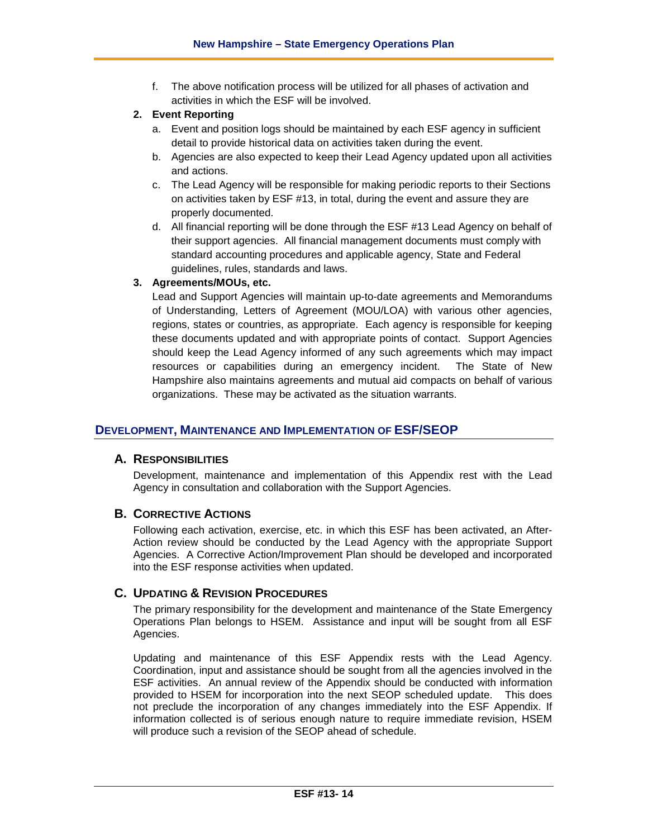f. The above notification process will be utilized for all phases of activation and activities in which the ESF will be involved.

#### **2. Event Reporting**

- a. Event and position logs should be maintained by each ESF agency in sufficient detail to provide historical data on activities taken during the event.
- b. Agencies are also expected to keep their Lead Agency updated upon all activities and actions.
- c. The Lead Agency will be responsible for making periodic reports to their Sections on activities taken by ESF #13, in total, during the event and assure they are properly documented.
- d. All financial reporting will be done through the ESF #13 Lead Agency on behalf of their support agencies. All financial management documents must comply with standard accounting procedures and applicable agency, State and Federal guidelines, rules, standards and laws.

#### **3. Agreements/MOUs, etc.**

Lead and Support Agencies will maintain up-to-date agreements and Memorandums of Understanding, Letters of Agreement (MOU/LOA) with various other agencies, regions, states or countries, as appropriate. Each agency is responsible for keeping these documents updated and with appropriate points of contact. Support Agencies should keep the Lead Agency informed of any such agreements which may impact resources or capabilities during an emergency incident. The State of New Hampshire also maintains agreements and mutual aid compacts on behalf of various organizations. These may be activated as the situation warrants.

#### **DEVELOPMENT, MAINTENANCE AND IMPLEMENTATION OF ESF/SEOP**

#### **A. RESPONSIBILITIES**

Development, maintenance and implementation of this Appendix rest with the Lead Agency in consultation and collaboration with the Support Agencies.

#### **B. CORRECTIVE ACTIONS**

Following each activation, exercise, etc. in which this ESF has been activated, an After-Action review should be conducted by the Lead Agency with the appropriate Support Agencies. A Corrective Action/Improvement Plan should be developed and incorporated into the ESF response activities when updated.

### **C. UPDATING & REVISION PROCEDURES**

The primary responsibility for the development and maintenance of the State Emergency Operations Plan belongs to HSEM. Assistance and input will be sought from all ESF Agencies.

Updating and maintenance of this ESF Appendix rests with the Lead Agency. Coordination, input and assistance should be sought from all the agencies involved in the ESF activities. An annual review of the Appendix should be conducted with information provided to HSEM for incorporation into the next SEOP scheduled update. This does not preclude the incorporation of any changes immediately into the ESF Appendix. If information collected is of serious enough nature to require immediate revision, HSEM will produce such a revision of the SEOP ahead of schedule.